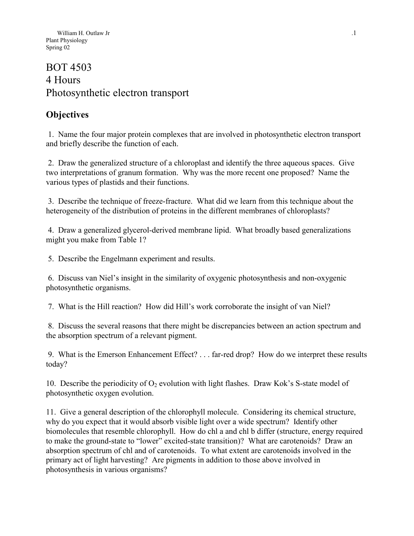# BOT 4503 4 Hours Photosynthetic electron transport

## **Objectives**

 1. Name the four major protein complexes that are involved in photosynthetic electron transport and briefly describe the function of each.

 2. Draw the generalized structure of a chloroplast and identify the three aqueous spaces. Give two interpretations of granum formation. Why was the more recent one proposed? Name the various types of plastids and their functions.

 3. Describe the technique of freeze-fracture. What did we learn from this technique about the heterogeneity of the distribution of proteins in the different membranes of chloroplasts?

 4. Draw a generalized glycerol-derived membrane lipid. What broadly based generalizations might you make from Table 1?

5. Describe the Engelmann experiment and results.

 6. Discuss van Niel's insight in the similarity of oxygenic photosynthesis and non-oxygenic photosynthetic organisms.

7. What is the Hill reaction? How did Hill's work corroborate the insight of van Niel?

 8. Discuss the several reasons that there might be discrepancies between an action spectrum and the absorption spectrum of a relevant pigment.

 9. What is the Emerson Enhancement Effect? . . . far-red drop? How do we interpret these results today?

10. Describe the periodicity of  $O_2$  evolution with light flashes. Draw Kok's S-state model of photosynthetic oxygen evolution.

11. Give a general description of the chlorophyll molecule. Considering its chemical structure, why do you expect that it would absorb visible light over a wide spectrum? Identify other biomolecules that resemble chlorophyll. How do chl a and chl b differ (structure, energy required to make the ground-state to "lower" excited-state transition)? What are carotenoids? Draw an absorption spectrum of chl and of carotenoids. To what extent are carotenoids involved in the primary act of light harvesting? Are pigments in addition to those above involved in photosynthesis in various organisms?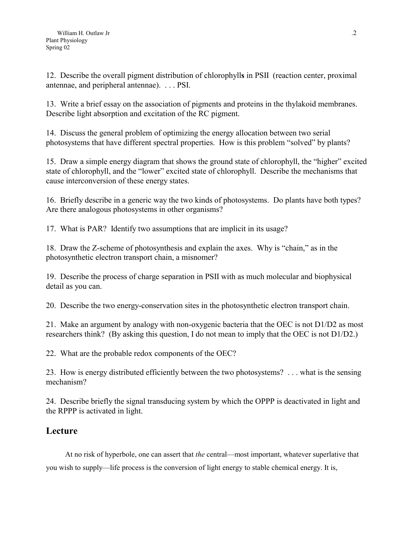12. Describe the overall pigment distribution of chlorophyll**s** in PSII (reaction center, proximal antennae, and peripheral antennae). . . . PSI.

13. Write a brief essay on the association of pigments and proteins in the thylakoid membranes. Describe light absorption and excitation of the RC pigment.

14. Discuss the general problem of optimizing the energy allocation between two serial photosystems that have different spectral properties. How is this problem "solved" by plants?

15. Draw a simple energy diagram that shows the ground state of chlorophyll, the "higher" excited state of chlorophyll, and the "lower" excited state of chlorophyll. Describe the mechanisms that cause interconversion of these energy states.

16. Briefly describe in a generic way the two kinds of photosystems. Do plants have both types? Are there analogous photosystems in other organisms?

17. What is PAR? Identify two assumptions that are implicit in its usage?

18. Draw the Z-scheme of photosynthesis and explain the axes. Why is "chain," as in the photosynthetic electron transport chain, a misnomer?

19. Describe the process of charge separation in PSII with as much molecular and biophysical detail as you can.

20. Describe the two energy-conservation sites in the photosynthetic electron transport chain.

21. Make an argument by analogy with non-oxygenic bacteria that the OEC is not D1/D2 as most researchers think? (By asking this question, I do not mean to imply that the OEC is not D1/D2.)

22. What are the probable redox components of the OEC?

23. How is energy distributed efficiently between the two photosystems? . . . what is the sensing mechanism?

24. Describe briefly the signal transducing system by which the OPPP is deactivated in light and the RPPP is activated in light.

## **Lecture**

At no risk of hyperbole, one can assert that *the* central—most important, whatever superlative that you wish to supply—life process is the conversion of light energy to stable chemical energy. It is,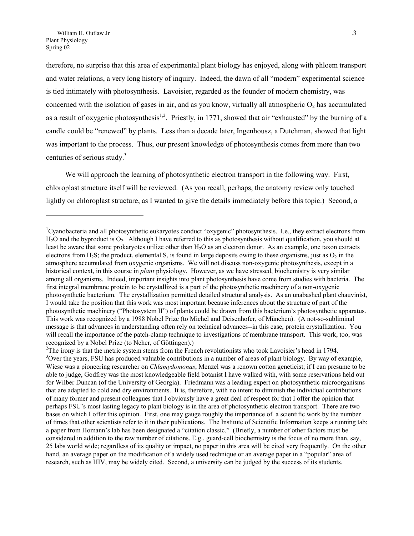<span id="page-2-2"></span>therefore, no surprise that this area of experimental plant biology has enjoyed, along with phloem transport and water relations, a very long history of inquiry. Indeed, the dawn of all "modern" experimental science is tied intimately with photosynthesis. Lavoisier, regarded as the founder of modern chemistry, was concerned with the isolation of gases in air, and as you know, virtually all atmospheric  $O_2$  has accumulated as a result of oxygenic photosynthesis<sup>[1,](#page-2-0)2</sup>. Priestly, in 1771, showed that air "exhausted" by the burning of a candle could be "renewed" by plants. Less than a decade later, Ingenhousz, a Dutchman, showed that light was important to the process. Thus, our present knowledge of photosynthesis comes from more than two centuries of serious study.<sup>[3](#page-2-2)</sup>

We will approach the learning of photosynthetic electron transport in the following way. First, chloroplast structure itself will be reviewed. (As you recall, perhaps, the anatomy review only touched lightly on chloroplast structure, as I wanted to give the details immediately before this topic.) Second, a

<span id="page-2-0"></span><sup>&</sup>lt;sup>1</sup>Cyanobacteria and all photosynthetic eukaryotes conduct "oxygenic" photosynthesis. I.e., they extract electrons from  $H<sub>2</sub>O$  and the byproduct is  $O<sub>2</sub>$ . Although I have referred to this as photosynthesis without qualification, you should at least be aware that some prokaryotes utilize other than H<sub>2</sub>O as an electron donor. As an example, one taxon extracts electrons from H<sub>2</sub>S; the product, elemental S, is found in large deposits owing to these organisms, just as  $O_2$  in the atmosphere accumulated from oxygenic organisms. We will not discuss non-oxygenic photosynthesis, except in a historical context, in this course in *plant* physiology. However, as we have stressed, biochemistry is very similar among all organisms. Indeed, important insights into plant photosynthesis have come from studies with bacteria. The first integral membrane protein to be crystallized is a part of the photosynthetic machinery of a non-oxygenic photosynthetic bacterium. The crystallization permitted detailed structural analysis. As an unabashed plant chauvinist, I would take the position that this work was most important because inferences about the structure of part of the photosynthetic machinery ("Photosystem II") of plants could be drawn from this bacterium's photosynthetic apparatus. This work was recognized by a 1988 Nobel Prize (to Michel and Deisenhofer, of München). (A not-so-subliminal message is that advances in understanding often rely on technical advances--in this case, protein crystallization. You will recall the importance of the patch-clamp technique to investigations of membrane transport. This work, too, was recognized by a Nobel Prize (to Neher, of Göttingen).)

<span id="page-2-1"></span><sup>&</sup>lt;sup>2</sup>The irony is that the metric system stems from the French revolutionists who took Lavoisier's head in 1794.  $3$ Over the years, FSU has produced valuable contributions in a number of areas of plant biology. By way of example, Wiese was a pioneering researcher on *Chlamydomonas*, Menzel was a renown cotton geneticist; if I can presume to be able to judge, Godfrey was the most knowledgeable field botanist I have walked with, with some reservations held out for Wilber Duncan (of the University of Georgia). Friedmann was a leading expert on photosynthetic microorganisms that are adapted to cold and dry environments. It is, therefore, with no intent to diminish the individual contributions of many former and present colleagues that I obviously have a great deal of respect for that I offer the opinion that perhaps FSU's most lasting legacy to plant biology is in the area of photosynthetic electron transport. There are two bases on which I offer this opinion. First, one may gauge roughly the importance of a scientific work by the number of times that other scientists refer to it in their publications. The Institute of Scientific Information keeps a running tab; a paper from Homann's lab has been designated a "citation classic." (Briefly, a number of other factors must be considered in addition to the raw number of citations. E.g., guard-cell biochemistry is the focus of no more than, say, 25 labs world wide; regardless of its quality or impact, no paper in this area will be cited very frequently. On the other hand, an average paper on the modification of a widely used technique or an average paper in a "popular" area of research, such as HIV, may be widely cited. Second, a university can be judged by the success of its students.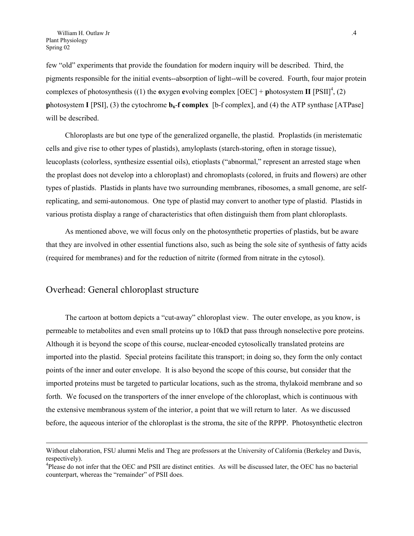few "old" experiments that provide the foundation for modern inquiry will be described. Third, the pigments responsible for the initial events--absorption of light--will be covered. Fourth, four major protein complexes of photosynthesis ((1) the **o**xygen evolving complex  $[OEC]$  + **photosystem <b>II**  $[PSII]$ <sup>[4](#page-3-0)</sup>, (2) **p**hotosystem **I** [PSI], (3) the cytochrome  $\mathbf{b}_6$ -**f complex** [b-f complex], and (4) the ATP synthase [ATPase] will be described.

Chloroplasts are but one type of the generalized organelle, the plastid. Proplastids (in meristematic cells and give rise to other types of plastids), amyloplasts (starch-storing, often in storage tissue), leucoplasts (colorless, synthesize essential oils), etioplasts ("abnormal," represent an arrested stage when the proplast does not develop into a chloroplast) and chromoplasts (colored, in fruits and flowers) are other types of plastids. Plastids in plants have two surrounding membranes, ribosomes, a small genome, are selfreplicating, and semi-autonomous. One type of plastid may convert to another type of plastid. Plastids in various protista display a range of characteristics that often distinguish them from plant chloroplasts.

As mentioned above, we will focus only on the photosynthetic properties of plastids, but be aware that they are involved in other essential functions also, such as being the sole site of synthesis of fatty acids (required for membranes) and for the reduction of nitrite (formed from nitrate in the cytosol).

#### Overhead: General chloroplast structure

 $\overline{a}$ 

The cartoon at bottom depicts a "cut-away" chloroplast view. The outer envelope, as you know, is permeable to metabolites and even small proteins up to 10kD that pass through nonselective pore proteins. Although it is beyond the scope of this course, nuclear-encoded cytosolically translated proteins are imported into the plastid. Special proteins facilitate this transport; in doing so, they form the only contact points of the inner and outer envelope. It is also beyond the scope of this course, but consider that the imported proteins must be targeted to particular locations, such as the stroma, thylakoid membrane and so forth. We focused on the transporters of the inner envelope of the chloroplast, which is continuous with the extensive membranous system of the interior, a point that we will return to later. As we discussed before, the aqueous interior of the chloroplast is the stroma, the site of the RPPP. Photosynthetic electron

Without elaboration, FSU alumni Melis and Theg are professors at the University of California (Berkeley and Davis, respectively).

<span id="page-3-0"></span><sup>&</sup>lt;sup>4</sup>Please do not infer that the OEC and PSII are distinct entities. As will be discussed later, the OEC has no bacterial counterpart, whereas the "remainder" of PSII does.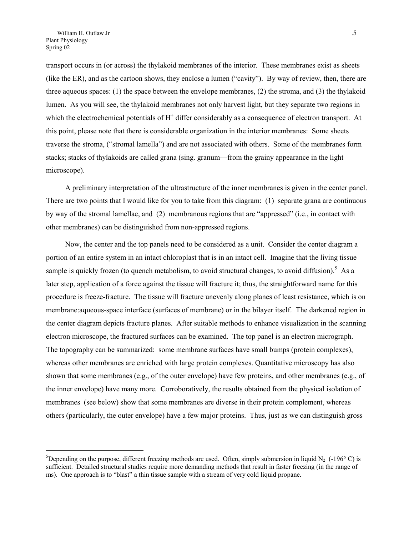transport occurs in (or across) the thylakoid membranes of the interior. These membranes exist as sheets (like the ER), and as the cartoon shows, they enclose a lumen ("cavity"). By way of review, then, there are three aqueous spaces: (1) the space between the envelope membranes, (2) the stroma, and (3) the thylakoid lumen. As you will see, the thylakoid membranes not only harvest light, but they separate two regions in which the electrochemical potentials of  $H<sup>+</sup>$  differ considerably as a consequence of electron transport. At this point, please note that there is considerable organization in the interior membranes: Some sheets traverse the stroma, ("stromal lamella") and are not associated with others. Some of the membranes form stacks; stacks of thylakoids are called grana (sing. granum—from the grainy appearance in the light microscope).

A preliminary interpretation of the ultrastructure of the inner membranes is given in the center panel. There are two points that I would like for you to take from this diagram: (1) separate grana are continuous by way of the stromal lamellae, and (2) membranous regions that are "appressed" (i.e., in contact with other membranes) can be distinguished from non-appressed regions.

Now, the center and the top panels need to be considered as a unit. Consider the center diagram a portion of an entire system in an intact chloroplast that is in an intact cell. Imagine that the living tissue sample is quickly frozen (to quench metabolism, to avoid structural changes, to avoid diffusion).<sup>[5](#page-4-0)</sup> As a later step, application of a force against the tissue will fracture it; thus, the straightforward name for this procedure is freeze-fracture. The tissue will fracture unevenly along planes of least resistance, which is on membrane:aqueous-space interface (surfaces of membrane) or in the bilayer itself. The darkened region in the center diagram depicts fracture planes. After suitable methods to enhance visualization in the scanning electron microscope, the fractured surfaces can be examined. The top panel is an electron micrograph. The topography can be summarized: some membrane surfaces have small bumps (protein complexes), whereas other membranes are enriched with large protein complexes. Quantitative microscopy has also shown that some membranes (e.g., of the outer envelope) have few proteins, and other membranes (e.g., of the inner envelope) have many more. Corroboratively, the results obtained from the physical isolation of membranes (see below) show that some membranes are diverse in their protein complement, whereas others (particularly, the outer envelope) have a few major proteins. Thus, just as we can distinguish gross

<span id="page-4-0"></span><sup>&</sup>lt;sup>5</sup>Depending on the purpose, different freezing methods are used. Often, simply submersion in liquid N<sub>2</sub> (-196 $^{\circ}$  C) is sufficient. Detailed structural studies require more demanding methods that result in faster freezing (in the range of ms). One approach is to "blast" a thin tissue sample with a stream of very cold liquid propane.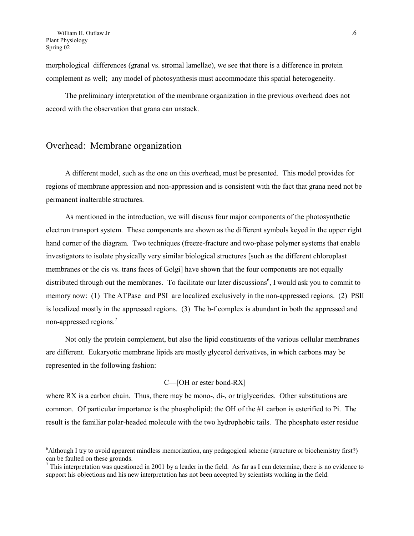morphological differences (granal vs. stromal lamellae), we see that there is a difference in protein complement as well; any model of photosynthesis must accommodate this spatial heterogeneity.

The preliminary interpretation of the membrane organization in the previous overhead does not accord with the observation that grana can unstack.

#### Overhead: Membrane organization

A different model, such as the one on this overhead, must be presented. This model provides for regions of membrane appression and non-appression and is consistent with the fact that grana need not be permanent inalterable structures.

As mentioned in the introduction, we will discuss four major components of the photosynthetic electron transport system. These components are shown as the different symbols keyed in the upper right hand corner of the diagram. Two techniques (freeze-fracture and two-phase polymer systems that enable investigators to isolate physically very similar biological structures [such as the different chloroplast membranes or the cis vs. trans faces of Golgi] have shown that the four components are not equally distributed through out the membranes. To facilitate our later discussions<sup>[6](#page-5-0)</sup>, I would ask you to commit to memory now: (1) The ATPase and PSI are localized exclusively in the non-appressed regions. (2) PSII is localized mostly in the appressed regions. (3) The b-f complex is abundant in both the appressed and non-appressed regions.[7](#page-5-1)

Not only the protein complement, but also the lipid constituents of the various cellular membranes are different. Eukaryotic membrane lipids are mostly glycerol derivatives, in which carbons may be represented in the following fashion:

#### C—[OH or ester bond-RX]

where RX is a carbon chain. Thus, there may be mono-, di-, or triglycerides. Other substitutions are common. Of particular importance is the phospholipid: the OH of the #1 carbon is esterified to Pi. The result is the familiar polar-headed molecule with the two hydrophobic tails. The phosphate ester residue

<span id="page-5-0"></span><sup>&</sup>lt;sup>6</sup>Although I try to avoid apparent mindless memorization, any pedagogical scheme (structure or biochemistry first?) can be faulted on these grounds.

<span id="page-5-1"></span> $^7$  This interpretation was questioned in 2001 by a leader in the field. As far as I can determine, there is no evidence to support his objections and his new interpretation has not been accepted by scientists working in the field.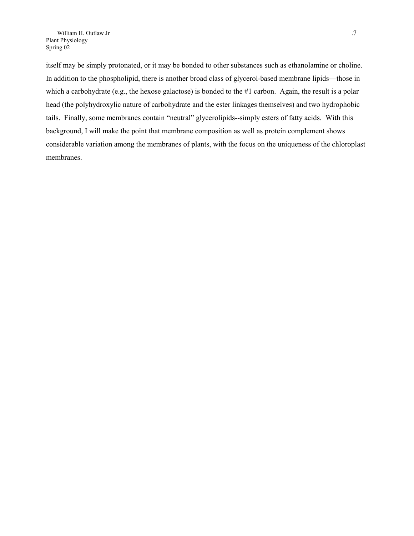itself may be simply protonated, or it may be bonded to other substances such as ethanolamine or choline. In addition to the phospholipid, there is another broad class of glycerol-based membrane lipids—those in which a carbohydrate (e.g., the hexose galactose) is bonded to the #1 carbon. Again, the result is a polar head (the polyhydroxylic nature of carbohydrate and the ester linkages themselves) and two hydrophobic tails. Finally, some membranes contain "neutral" glycerolipids--simply esters of fatty acids. With this background, I will make the point that membrane composition as well as protein complement shows considerable variation among the membranes of plants, with the focus on the uniqueness of the chloroplast membranes.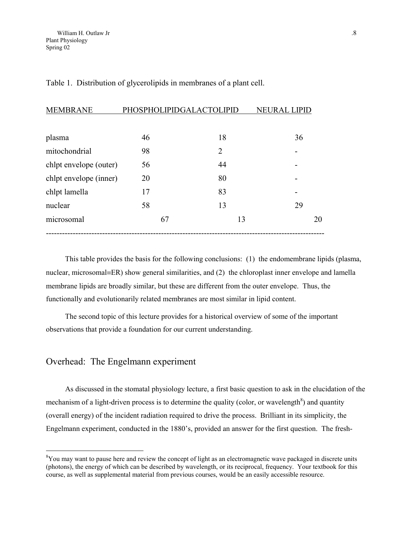| <b>MEMBRANE</b>        | PHOSPHOLIPIDGALACTOLIPID |                | <b>NEURAL LIPID</b> |
|------------------------|--------------------------|----------------|---------------------|
|                        |                          |                |                     |
| plasma                 | 46                       | 18             | 36                  |
| mitochondrial          | 98                       | $\overline{2}$ |                     |
| chlpt envelope (outer) | 56                       | 44             |                     |
| chlpt envelope (inner) | 20                       | 80             |                     |
| chlpt lamella          | 17                       | 83             |                     |
| nuclear                | 58                       | 13             | 29                  |
| microsomal             | 67                       | 13             | 20                  |
|                        |                          |                |                     |

Table 1. Distribution of glycerolipids in membranes of a plant cell.

This table provides the basis for the following conclusions: (1) the endomembrane lipids (plasma, nuclear, microsomal=ER) show general similarities, and  $(2)$  the chloroplast inner envelope and lamella membrane lipids are broadly similar, but these are different from the outer envelope. Thus, the functionally and evolutionarily related membranes are most similar in lipid content.

The second topic of this lecture provides for a historical overview of some of the important observations that provide a foundation for our current understanding.

### Overhead: The Engelmann experiment

 $\overline{a}$ 

As discussed in the stomatal physiology lecture, a first basic question to ask in the elucidation of the mechanism of a light-driven process is to determine the quality (color, or wavelength<sup>8</sup>[\)](#page-7-0) and quantity (overall energy) of the incident radiation required to drive the process. Brilliant in its simplicity, the Engelmann experiment, conducted in the 1880's, provided an answer for the first question. The fresh-

<span id="page-7-0"></span><sup>&</sup>lt;sup>8</sup>You may want to pause here and review the concept of light as an electromagnetic wave packaged in discrete units (photons), the energy of which can be described by wavelength, or its reciprocal, frequency. Your textbook for this course, as well as supplemental material from previous courses, would be an easily accessible resource.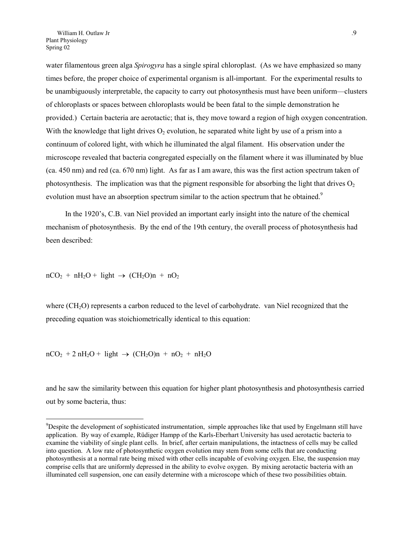water filamentous green alga *Spirogyra* has a single spiral chloroplast. (As we have emphasized so many times before, the proper choice of experimental organism is all-important. For the experimental results to be unambiguously interpretable, the capacity to carry out photosynthesis must have been uniform—clusters of chloroplasts or spaces between chloroplasts would be been fatal to the simple demonstration he provided.) Certain bacteria are aerotactic; that is, they move toward a region of high oxygen concentration. With the knowledge that light drives  $O<sub>2</sub>$  evolution, he separated white light by use of a prism into a continuum of colored light, with which he illuminated the algal filament. His observation under the microscope revealed that bacteria congregated especially on the filament where it was illuminated by blue (ca. 450 nm) and red (ca. 670 nm) light. As far as I am aware, this was the first action spectrum taken of photosynthesis. The implication was that the pigment responsible for absorbing the light that drives  $O_2$ evolution must have an absorption spectrum similar to the action spectrum that he obtained.<sup>[9](#page-8-0)</sup>

In the 1920's, C.B. van Niel provided an important early insight into the nature of the chemical mechanism of photosynthesis. By the end of the 19th century, the overall process of photosynthesis had been described:

 $nCO<sub>2</sub> + nH<sub>2</sub>O + light \rightarrow (CH<sub>2</sub>O)n + nO<sub>2</sub>$ 

 $\overline{a}$ 

where (CH<sub>2</sub>O) represents a carbon reduced to the level of carbohydrate. van Niel recognized that the preceding equation was stoichiometrically identical to this equation:

 $nCO<sub>2</sub> + 2 nH<sub>2</sub>O + light \rightarrow (CH<sub>2</sub>O)n + nO<sub>2</sub> + nH<sub>2</sub>O$ 

and he saw the similarity between this equation for higher plant photosynthesis and photosynthesis carried out by some bacteria, thus:

<span id="page-8-0"></span><sup>&</sup>lt;sup>9</sup>Despite the development of sophisticated instrumentation, simple approaches like that used by Engelmann still have application. By way of example, Rüdiger Hampp of the Karls-Eberhart University has used aerotactic bacteria to examine the viability of single plant cells. In brief, after certain manipulations, the intactness of cells may be called into question. A low rate of photosynthetic oxygen evolution may stem from some cells that are conducting photosynthesis at a normal rate being mixed with other cells incapable of evolving oxygen. Else, the suspension may comprise cells that are uniformly depressed in the ability to evolve oxygen. By mixing aerotactic bacteria with an illuminated cell suspension, one can easily determine with a microscope which of these two possibilities obtain.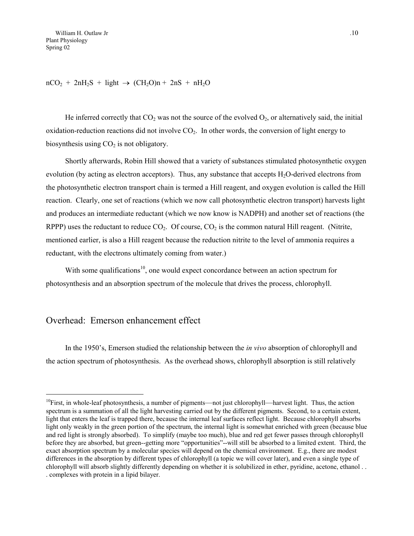$nCO<sub>2</sub> + 2nH<sub>2</sub>S + light \rightarrow (CH<sub>2</sub>O)n + 2nS + nH<sub>2</sub>O$ 

He inferred correctly that  $CO_2$  was not the source of the evolved  $O_2$ , or alternatively said, the initial oxidation-reduction reactions did not involve  $CO<sub>2</sub>$ . In other words, the conversion of light energy to biosynthesis using  $CO<sub>2</sub>$  is not obligatory.

Shortly afterwards, Robin Hill showed that a variety of substances stimulated photosynthetic oxygen evolution (by acting as electron acceptors). Thus, any substance that accepts  $H_2O$ -derived electrons from the photosynthetic electron transport chain is termed a Hill reagent, and oxygen evolution is called the Hill reaction. Clearly, one set of reactions (which we now call photosynthetic electron transport) harvests light and produces an intermediate reductant (which we now know is NADPH) and another set of reactions (the RPPP) uses the reductant to reduce  $CO_2$ . Of course,  $CO_2$  is the common natural Hill reagent. (Nitrite, mentioned earlier, is also a Hill reagent because the reduction nitrite to the level of ammonia requires a reductant, with the electrons ultimately coming from water.)

With some qualifications<sup>10</sup>, one would expect concordance between an action spectrum for photosynthesis and an absorption spectrum of the molecule that drives the process, chlorophyll.

#### Overhead: Emerson enhancement effect

 $\overline{a}$ 

In the 1950's, Emerson studied the relationship between the *in vivo* absorption of chlorophyll and the action spectrum of photosynthesis. As the overhead shows, chlorophyll absorption is still relatively

<span id="page-9-0"></span> $10$ First, in whole-leaf photosynthesis, a number of pigments—not just chlorophyll—harvest light. Thus, the action spectrum is a summation of all the light harvesting carried out by the different pigments. Second, to a certain extent, light that enters the leaf is trapped there, because the internal leaf surfaces reflect light. Because chlorophyll absorbs light only weakly in the green portion of the spectrum, the internal light is somewhat enriched with green (because blue and red light is strongly absorbed). To simplify (maybe too much), blue and red get fewer passes through chlorophyll before they are absorbed, but green--getting more "opportunities"--will still be absorbed to a limited extent. Third, the exact absorption spectrum by a molecular species will depend on the chemical environment. E.g., there are modest differences in the absorption by different types of chlorophyll (a topic we will cover later), and even a single type of chlorophyll will absorb slightly differently depending on whether it is solubilized in ether, pyridine, acetone, ethanol . . . complexes with protein in a lipid bilayer.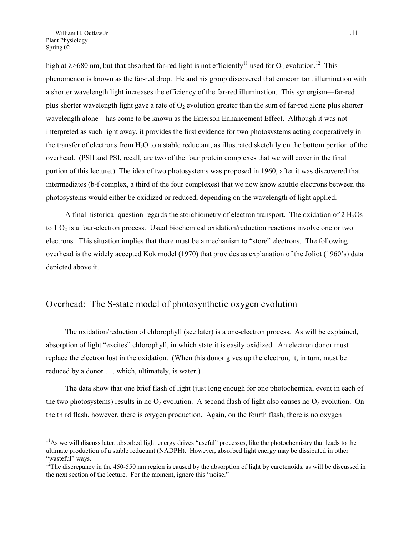high at  $\lambda$ >680 nm, but that absorbed far-red light is not efficiently<sup>11</sup> used for O<sub>2</sub> evolution.<sup>12</sup> This phenomenon is known as the far-red drop. He and his group discovered that concomitant illumination with a shorter wavelength light increases the efficiency of the far-red illumination. This synergism—far-red plus shorter wavelength light gave a rate of  $O<sub>2</sub>$  evolution greater than the sum of far-red alone plus shorter wavelength alone—has come to be known as the Emerson Enhancement Effect. Although it was not interpreted as such right away, it provides the first evidence for two photosystems acting cooperatively in the transfer of electrons from  $H_2O$  to a stable reductant, as illustrated sketchily on the bottom portion of the overhead. (PSII and PSI, recall, are two of the four protein complexes that we will cover in the final portion of this lecture.) The idea of two photosystems was proposed in 1960, after it was discovered that intermediates (b-f complex, a third of the four complexes) that we now know shuttle electrons between the photosystems would either be oxidized or reduced, depending on the wavelength of light applied.

A final historical question regards the stoichiometry of electron transport. The oxidation of  $2 \text{ H}_2\text{Os}$ to  $1 O_2$  is a four-electron process. Usual biochemical oxidation/reduction reactions involve one or two electrons. This situation implies that there must be a mechanism to "store" electrons. The following overhead is the widely accepted Kok model (1970) that provides as explanation of the Joliot (1960's) data depicted above it.

### Overhead: The S-state model of photosynthetic oxygen evolution

The oxidation/reduction of chlorophyll (see later) is a one-electron process. As will be explained, absorption of light "excites" chlorophyll, in which state it is easily oxidized. An electron donor must replace the electron lost in the oxidation. (When this donor gives up the electron, it, in turn, must be reduced by a donor . . . which, ultimately, is water.)

The data show that one brief flash of light (just long enough for one photochemical event in each of the two photosystems) results in no  $O_2$  evolution. A second flash of light also causes no  $O_2$  evolution. On the third flash, however, there is oxygen production. Again, on the fourth flash, there is no oxygen

<span id="page-10-0"></span> $11$ As we will discuss later, absorbed light energy drives "useful" processes, like the photochemistry that leads to the ultimate production of a stable reductant (NADPH). However, absorbed light energy may be dissipated in other "wasteful" ways.

<span id="page-10-1"></span> $12$ The discrepancy in the 450-550 nm region is caused by the absorption of light by carotenoids, as will be discussed in the next section of the lecture. For the moment, ignore this "noise."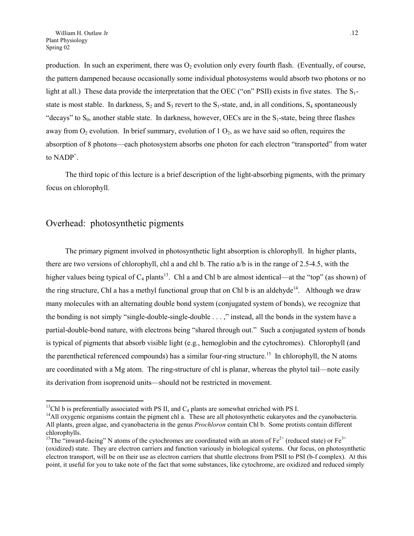<span id="page-11-2"></span>production. In such an experiment, there was  $O_2$  evolution only every fourth flash. (Eventually, of course, the pattern dampened because occasionally some individual photosystems would absorb two photons or no light at all.) These data provide the interpretation that the OEC ("on" PSII) exists in five states. The  $S_1$ state is most stable. In darkness,  $S_2$  and  $S_3$  revert to the  $S_1$ -state, and, in all conditions,  $S_4$  spontaneously "decays" to  $S_0$ , another stable state. In darkness, however, OECs are in the  $S_1$ -state, being three flashes away from  $O_2$  evolution. In brief summary, evolution of 1  $O_2$ , as we have said so often, requires the absorption of 8 photons—each photosystem absorbs one photon for each electron "transported" from water to  $NADP^+$ .

The third topic of this lecture is a brief description of the light-absorbing pigments, with the primary focus on chlorophyll.

### Overhead: photosynthetic pigments

The primary pigment involved in photosynthetic light absorption is chlorophyll. In higher plants, there are two versions of chlorophyll, chl a and chl b. The ratio a/b is in the range of 2.5-4.5, with the higher values being typical of  $C_4$  plants<sup>13</sup>. Chl a and Chl b are almost identical—at the "top" (as shown) of the ring structure, Chl a has a methyl functional group that on Chl b is an aldehyde<sup>14</sup>. Although we draw many molecules with an alternating double bond system (conjugated system of bonds), we recognize that the bonding is not simply "single-double-single-double . . . ," instead, all the bonds in the system have a partial-double-bond nature, with electrons being "shared through out." Such a conjugated system of bonds is typical of pigments that absorb visible light (e.g., hemoglobin and the cytochromes). Chlorophyll (and the parenthetical referenced compounds) has a similar four-ring structure.<sup>15</sup> In chlorophyll, the N atoms are coordinated with a Mg atom. The ring-structure of chl is planar, whereas the phytol tail—note easily its derivation from isoprenoid units—should not be restricted in movement.

<span id="page-11-1"></span><span id="page-11-0"></span>

<sup>&</sup>lt;sup>13</sup>Chl b is preferentially associated with PS II, and C<sub>4</sub> plants are somewhat enriched with PS I.<br><sup>14</sup>All oxygenic organisms contain the pigment chl a. These are all photosynthetic eukaryotes and the cyanobacteria. All plants, green algae, and cyanobacteria in the genus *Prochloron* contain Chl b. Some protists contain different chlorophylls.

<sup>&</sup>lt;sup>15</sup>The "inward-facing" N atoms of the cytochromes are coordinated with an atom of  $Fe^{2+}$  (reduced state) or  $Fe^{3+}$ (oxidized) state. They are electron carriers and function variously in biological systems. Our focus, on photosynthetic electron transport, will be on their use as electron carriers that shuttle electrons from PSII to PSI (b-f complex). At this point, it useful for you to take note of the fact that some substances, like cytochrome, are oxidized and reduced simply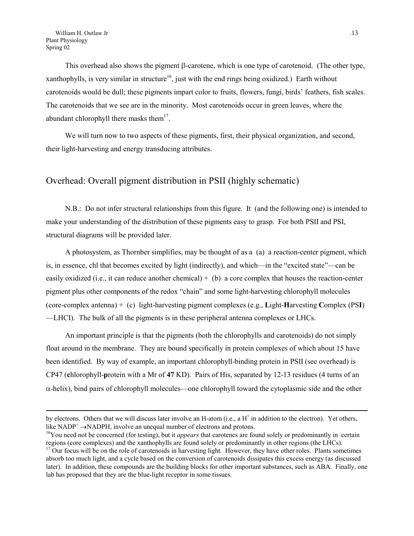This overhead also shows the pigment  $\beta$ -carotene, which is one type of carotenoid. (The other type, xanthophylls, is very similar in structure<sup>16</sup>, just with the end rings being oxidized.) Earth without carotenoids would be dull; these pigments impart color to fruits, flowers, fungi, birds' feathers, fish scales. The carotenoids that we see are in the minority. Most carotenoids occur in green leaves, where the abundant chlorophyll there masks them<sup>17</sup>.

We will turn now to two aspects of these pigments, first, their physical organization, and second, their light-harvesting and energy transducing attributes.

### Overhead: Overall pigment distribution in PSII (highly schematic)

N.B.: Do not infer structural relationships from this figure. It (and the following one) is intended to make your understanding of the distribution of these pigments easy to grasp. For both PSII and PSI, structural diagrams will be provided later.

A photosystem, as Thornber simplifies, may be thought of as a (a) a reaction-center pigment, which is, in essence, chl that becomes excited by light (indirectly), and which—in the "excited state"—can be easily oxidized (i.e., it can reduce another chemical)  $+$  (b) a core complex that houses the reaction-center pigment plus other components of the redox "chain" and some light-harvesting chlorophyll molecules (core-complex antenna) + (c) light-harvesting pigment complexes (e.g., **L**ight-**H**arvesting **C**omplex (PS**I**) —LHCI). The bulk of all the pigments is in these peripheral antenna complexes or LHCs.

An important principle is that the pigments (both the chlorophylls and carotenoids) do not simply float around in the membrane. They are bound specifically in protein complexes of which about 15 have been identified. By way of example, an important chlorophyll-binding protein in PSII (see overhead) is CP47 (**c**hlorophyll-**p**rotein with a Mr of **47** KD). Pairs of His, separated by 12-13 residues (4 turns of an  $\alpha$ -helix), bind pairs of chlorophyll molecules—one chlorophyll toward the cytoplasmic side and the other

by electrons. Others that we will discuss later involve an H-atom (i.e., a  $H^+$  in addition to the electron). Yet others, like  $NADP^+ \rightarrow NADPH$ , involve an unequal number of electrons and protons.

<span id="page-12-0"></span><sup>&</sup>lt;sup>16</sup>You need not be concerned (for testing), but it *appears* that carotenes are found solely or predominantly in certain regions (core complexes) and the xanthophylls are found solely or predominantly in other regions (the LHCs).

<span id="page-12-1"></span> $17$  Our focus will be on the role of carotenoids in harvesting light. However, they have other roles. Plants sometimes absorb too much light, and a cycle based on the conversion of carotenoids dissipates this excess energy (as discussed later). In addition, these compounds are the building blocks for other important substances, such as ABA. Finally, one lab has proposed that they are the blue-light receptor in some tissues.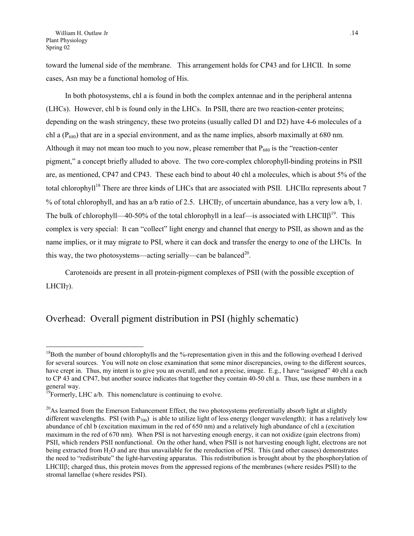toward the lumenal side of the membrane. This arrangement holds for CP43 and for LHCII. In some cases, Asn may be a functional homolog of His.

In both photosystems, chl a is found in both the complex antennae and in the peripheral antenna (LHCs). However, chl b is found only in the LHCs. In PSII, there are two reaction-center proteins; depending on the wash stringency, these two proteins (usually called D1 and D2) have 4-6 molecules of a chl a ( $P_{680}$ ) that are in a special environment, and as the name implies, absorb maximally at 680 nm. Although it may not mean too much to you now, please remember that  $P_{680}$  is the "reaction-center" pigment," a concept briefly alluded to above. The two core-complex chlorophyll-binding proteins in PSII are, as mentioned, CP47 and CP43. These each bind to about 40 chl a molecules, which is about 5% of the total chlorophyll<sup>18</sup> There are three kinds of LHCs that are associated with PSII. LHCII $\alpha$  represents about 7 % of total chlorophyll, and has an a/b ratio of 2.5. LHCIIy, of uncertain abundance, has a very low a/b, 1. The bulk of chlorophyll—40-50% of the total chlorophyll in a leaf—is associated with  $LHClIB^{19}$ . This complex is very special: It can "collect" light energy and channel that energy to PSII, as shown and as the name implies, or it may migrate to PSI, where it can dock and transfer the energy to one of the LHCIs. In this way, the two photosystems—acting serially—can be balanced<sup>20</sup>.

Carotenoids are present in all protein-pigment complexes of PSII (with the possible exception of  $LHCII\gamma$ ).

### Overhead: Overall pigment distribution in PSI (highly schematic)

<span id="page-13-0"></span><sup>&</sup>lt;sup>18</sup>Both the number of bound chlorophylls and the %-representation given in this and the following overhead I derived for several sources. You will note on close examination that some minor discrepancies, owing to the different sources, have crept in. Thus, my intent is to give you an overall, and not a precise, image. E.g., I have "assigned" 40 chl a each to CP 43 and CP47, but another source indicates that together they contain 40-50 chl a. Thus, use these numbers in a general way.

<span id="page-13-1"></span> $19$ Formerly, LHC a/b. This nomenclature is continuing to evolve.

<span id="page-13-2"></span><sup>&</sup>lt;sup>20</sup>As learned from the Emerson Enhancement Effect, the two photosystems preferentially absorb light at slightly different wavelengths. PSI (with  $P_{700}$ ) is able to utilize light of less energy (longer wavelength); it has a relatively low abundance of chl b (excitation maximum in the red of 650 nm) and a relatively high abundance of chl a (excitation maximum in the red of 670 nm). When PSI is not harvesting enough energy, it can not oxidize (gain electrons from) PSII, which renders PSII nonfunctional. On the other hand, when PSII is not harvesting enough light, electrons are not being extracted from H<sub>2</sub>O and are thus unavailable for the rereduction of PSI. This (and other causes) demonstrates the need to "redistribute" the light-harvesting apparatus. This redistribution is brought about by the phosphorylation of LHCII $\beta$ ; charged thus, this protein moves from the appressed regions of the membranes (where resides PSII) to the stromal lamellae (where resides PSI).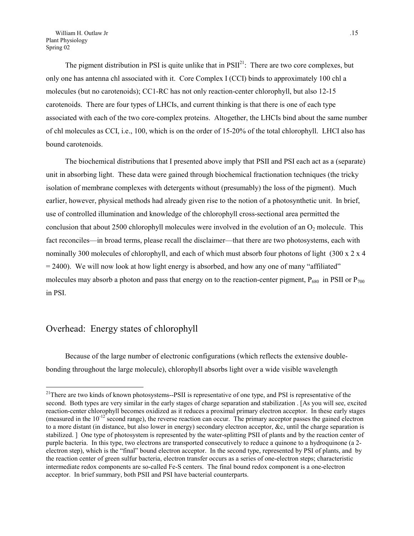The pigment distribution in PSI is quite unlike that in  $PSII<sup>21</sup>$ : There are two core complexes, but only one has antenna chl associated with it. Core Complex I (CCI) binds to approximately 100 chl a molecules (but no carotenoids); CC1-RC has not only reaction-center chlorophyll, but also 12-15 carotenoids. There are four types of LHCIs, and current thinking is that there is one of each type associated with each of the two core-complex proteins. Altogether, the LHCIs bind about the same number of chl molecules as CCI, i.e., 100, which is on the order of 15-20% of the total chlorophyll. LHCI also has bound carotenoids.

The biochemical distributions that I presented above imply that PSII and PSI each act as a (separate) unit in absorbing light. These data were gained through biochemical fractionation techniques (the tricky isolation of membrane complexes with detergents without (presumably) the loss of the pigment). Much earlier, however, physical methods had already given rise to the notion of a photosynthetic unit. In brief, use of controlled illumination and knowledge of the chlorophyll cross-sectional area permitted the conclusion that about 2500 chlorophyll molecules were involved in the evolution of an  $O_2$  molecule. This fact reconciles—in broad terms, please recall the disclaimer—that there are two photosystems, each with nominally 300 molecules of chlorophyll, and each of which must absorb four photons of light (300 x 2 x 4)  $= 2400$ . We will now look at how light energy is absorbed, and how any one of many "affiliated" molecules may absorb a photon and pass that energy on to the reaction-center pigment,  $P_{680}$  in PSII or  $P_{700}$ in PSI.

## Overhead: Energy states of chlorophyll

 $\overline{a}$ 

Because of the large number of electronic configurations (which reflects the extensive doublebonding throughout the large molecule), chlorophyll absorbs light over a wide visible wavelength

<span id="page-14-0"></span> $21$ There are two kinds of known photosystems--PSII is representative of one type, and PSI is representative of the second. Both types are very similar in the early stages of charge separation and stabilization . [As you will see, excited reaction-center chlorophyll becomes oxidized as it reduces a proximal primary electron acceptor. In these early stages (measured in the  $10^{-12}$  second range), the reverse reaction can occur. The primary acceptor passes the gained electron to a more distant (in distance, but also lower in energy) secondary electron acceptor, &c, until the charge separation is stabilized. ] One type of photosystem is represented by the water-splitting PSII of plants and by the reaction center of purple bacteria. In this type, two electrons are transported consecutively to reduce a quinone to a hydroquinone (a 2 electron step), which is the "final" bound electron acceptor. In the second type, represented by PSI of plants, and by the reaction center of green sulfur bacteria, electron transfer occurs as a series of one-electron steps; characteristic intermediate redox components are so-called Fe-S centers. The final bound redox component is a one-electron acceptor. In brief summary, both PSII and PSI have bacterial counterparts.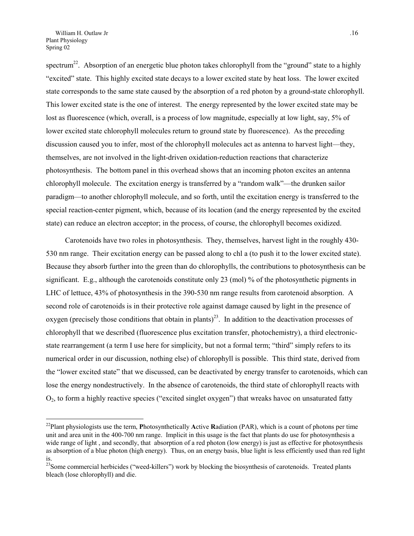spectrum<sup>22</sup>. Absorption of an energetic blue photon takes chlorophyll from the "ground" state to a highly "excited" state. This highly excited state decays to a lower excited state by heat loss. The lower excited state corresponds to the same state caused by the absorption of a red photon by a ground-state chlorophyll. This lower excited state is the one of interest. The energy represented by the lower excited state may be lost as fluorescence (which, overall, is a process of low magnitude, especially at low light, say, 5% of lower excited state chlorophyll molecules return to ground state by fluorescence). As the preceding discussion caused you to infer, most of the chlorophyll molecules act as antenna to harvest light—they, themselves, are not involved in the light-driven oxidation-reduction reactions that characterize photosynthesis. The bottom panel in this overhead shows that an incoming photon excites an antenna chlorophyll molecule. The excitation energy is transferred by a "random walk"—the drunken sailor paradigm—to another chlorophyll molecule, and so forth, until the excitation energy is transferred to the special reaction-center pigment, which, because of its location (and the energy represented by the excited state) can reduce an electron acceptor; in the process, of course, the chlorophyll becomes oxidized.

Carotenoids have two roles in photosynthesis. They, themselves, harvest light in the roughly 430- 530 nm range. Their excitation energy can be passed along to chl a (to push it to the lower excited state). Because they absorb further into the green than do chlorophylls, the contributions to photosynthesis can be significant. E.g., although the carotenoids constitute only 23 (mol) % of the photosynthetic pigments in LHC of lettuce, 43% of photosynthesis in the 390-530 nm range results from carotenoid absorption. A second role of carotenoids is in their protective role against damage caused by light in the presence of oxygen (precisely those conditions that obtain in plants)<sup>23</sup>. In addition to the deactivation processes of chlorophyll that we described (fluorescence plus excitation transfer, photochemistry), a third electronicstate rearrangement (a term I use here for simplicity, but not a formal term; "third" simply refers to its numerical order in our discussion, nothing else) of chlorophyll is possible. This third state, derived from the "lower excited state" that we discussed, can be deactivated by energy transfer to carotenoids, which can lose the energy nondestructively. In the absence of carotenoids, the third state of chlorophyll reacts with  $O_2$ , to form a highly reactive species ("excited singlet oxygen") that wreaks havoc on unsaturated fatty

<span id="page-15-0"></span><sup>22</sup>Plant physiologists use the term, **P**hotosynthetically **A**ctive **R**adiation (PAR), which is a count of photons per time unit and area unit in the 400-700 nm range. Implicit in this usage is the fact that plants do use for photosynthesis a wide range of light, and secondly, that absorption of a red photon (low energy) is just as effective for photosynthesis as absorption of a blue photon (high energy). Thus, on an energy basis, blue light is less efficiently used than red light is.

<span id="page-15-1"></span><sup>&</sup>lt;sup>23</sup>Some commercial herbicides ("weed-killers") work by blocking the biosynthesis of carotenoids. Treated plants bleach (lose chlorophyll) and die.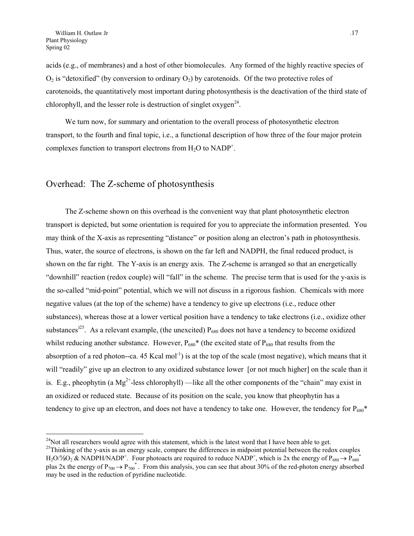acids (e.g., of membranes) and a host of other biomolecules. Any formed of the highly reactive species of  $O_2$  is "detoxified" (by conversion to ordinary  $O_2$ ) by carotenoids. Of the two protective roles of carotenoids, the quantitatively most important during photosynthesis is the deactivation of the third state of chlorophyll, and the lesser role is destruction of singlet  $oxygen<sup>24</sup>$ .

We turn now, for summary and orientation to the overall process of photosynthetic electron transport, to the fourth and final topic, i.e., a functional description of how three of the four major protein complexes function to transport electrons from  $H_2O$  to NADP<sup>+</sup>.

#### Overhead: The Z-scheme of photosynthesis

The Z-scheme shown on this overhead is the convenient way that plant photosynthetic electron transport is depicted, but some orientation is required for you to appreciate the information presented. You may think of the X-axis as representing "distance" or position along an electron's path in photosynthesis. Thus, water, the source of electrons, is shown on the far left and NADPH, the final reduced product, is shown on the far right. The Y-axis is an energy axis. The Z-scheme is arranged so that an energetically "downhill" reaction (redox couple) will "fall" in the scheme. The precise term that is used for the y-axis is the so-called "mid-point" potential, which we will not discuss in a rigorous fashion. Chemicals with more negative values (at the top of the scheme) have a tendency to give up electrons (i.e., reduce other substances), whereas those at a lower vertical position have a tendency to take electrons (i.e., oxidize other substances<sup> $25$ </sup>. As a relevant example, (the unexcited)  $P_{680}$  does not have a tendency to become oxidized whilst reducing another substance. However,  $P_{680}$ <sup>\*</sup> (the excited state of  $P_{680}$  that results from the absorption of a red photon--ca. 45 Kcal mol<sup>-1</sup>) is at the top of the scale (most negative), which means that it will "readily" give up an electron to any oxidized substance lower [or not much higher] on the scale than it is. E.g., pheophytin (a  $Mg^{2+}$ -less chlorophyll) —like all the other components of the "chain" may exist in an oxidized or reduced state. Because of its position on the scale, you know that pheophytin has a tendency to give up an electron, and does not have a tendency to take one. However, the tendency for  $P_{680}^*$ 

<span id="page-16-0"></span><sup>&</sup>lt;sup>24</sup>Not all researchers would agree with this statement, which is the latest word that I have been able to get.<br><sup>25</sup>Thinking of the y-axis as an energy scale, compare the differences in midpoint potential between the redo

<span id="page-16-1"></span> $H_2O\frac{1}{2}O_2 \& \text{NADPH/NADP}^+$ . Four photoacts are required to reduce NADP<sup>+</sup>, which is 2x the energy of  $P_{680} \rightarrow P_{680}^+$ plus 2x the energy of  $P_{700} \to P_{700}^*$ . From this analysis, you can see that about 30% of the red-photon energy absorbed may be used in the reduction of pyridine nucleotide.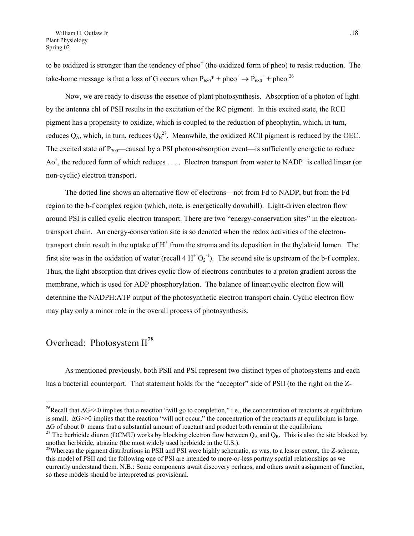to be oxidized is stronger than the tendency of pheo $^+$  (the oxidized form of pheo) to resist reduction. The take-home message is that a loss of G occurs when  $P_{680}^*$  + pheo<sup>+</sup>  $\rightarrow P_{680}^*$  + pheo.<sup>26</sup>

Now, we are ready to discuss the essence of plant photosynthesis. Absorption of a photon of light by the antenna chl of PSII results in the excitation of the RC pigment. In this excited state, the RCII pigment has a propensity to oxidize, which is coupled to the reduction of pheophytin, which, in turn, reduces  $Q_A$ , which, in turn, reduces  $Q_B^2$ . Meanwhile, the oxidized RCII pigment is reduced by the OEC. The excited state of  $P_{700}$ —caused by a PSI photon-absorption event—is sufficiently energetic to reduce  $Ao^+$ , the reduced form of which reduces .... Electron transport from water to NADP<sup>+</sup> is called linear (or non-cyclic) electron transport.

The dotted line shows an alternative flow of electrons—not from Fd to NADP, but from the Fd region to the b-f complex region (which, note, is energetically downhill). Light-driven electron flow around PSI is called cyclic electron transport. There are two "energy-conservation sites" in the electrontransport chain. An energy-conservation site is so denoted when the redox activities of the electrontransport chain result in the uptake of  $H^+$  from the stroma and its deposition in the thylakoid lumen. The first site was in the oxidation of water (recall  $4 H^{+} O_2^{-1}$ ). The second site is upstream of the b-f complex. Thus, the light absorption that drives cyclic flow of electrons contributes to a proton gradient across the membrane, which is used for ADP phosphorylation. The balance of linear:cyclic electron flow will determine the NADPH:ATP output of the photosynthetic electron transport chain. Cyclic electron flow may play only a minor role in the overall process of photosynthesis.

### Overhead: Photosystem  $II^{28}$  $II^{28}$  $II^{28}$

 $\overline{a}$ 

As mentioned previously, both PSII and PSI represent two distinct types of photosystems and each has a bacterial counterpart. That statement holds for the "acceptor" side of PSII (to the right on the Z-

<span id="page-17-0"></span><sup>&</sup>lt;sup>26</sup>Recall that  $\Delta G$ <<0 implies that a reaction "will go to completion," i.e., the concentration of reactants at equilibrium is small.  $\Delta G$  > 0 implies that the reaction "will not occur," the concentration of the reactants at equilibrium is large.  $\Delta G$  of about 0 means that a substantial amount of reactant and product both remain at the equilibrium.

<span id="page-17-1"></span><sup>&</sup>lt;sup>27</sup> The herbicide diuron (DCMU) works by blocking electron flow between  $Q_A$  and  $Q_B$ . This is also the site blocked by another herbicide, atrazine (the most widely used herbicide in the U.S.).

<span id="page-17-2"></span><sup>&</sup>lt;sup>28</sup>Whereas the pigment distributions in PSII and PSI were highly schematic, as was, to a lesser extent, the Z-scheme, this model of PSII and the following one of PSI are intended to more-or-less portray spatial relationships as we currently understand them. N.B.: Some components await discovery perhaps, and others await assignment of function, so these models should be interpreted as provisional.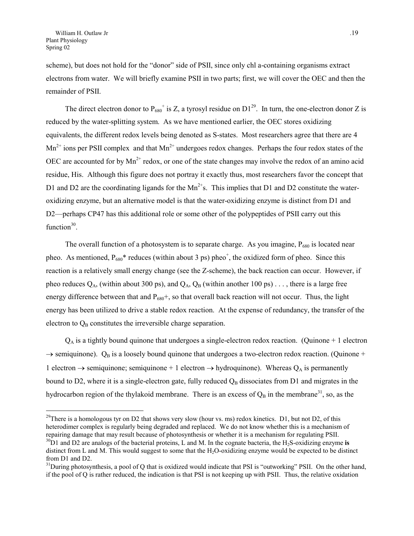<span id="page-18-2"></span>scheme), but does not hold for the "donor" side of PSII, since only chl a-containing organisms extract electrons from water. We will briefly examine PSII in two parts; first, we will cover the OEC and then the remainder of PSII.

The direct electron donor to  $P_{680}$ <sup>+</sup> is Z, a tyrosyl residue on D1<sup>29</sup>. In turn, the one-electron donor Z is reduced by the water-splitting system. As we have mentioned earlier, the OEC stores oxidizing equivalents, the different redox levels being denoted as S-states. Most researchers agree that there are 4  $Mn^{2+}$  ions per PSII complex and that  $Mn^{2+}$  undergoes redox changes. Perhaps the four redox states of the OEC are accounted for by  $Mn^{2+}$  redox, or one of the state changes may involve the redox of an amino acid residue, His. Although this figure does not portray it exactly thus, most researchers favor the concept that D1 and D2 are the coordinating ligands for the  $Mn^{2+}$ s. This implies that D1 and D2 constitute the wateroxidizing enzyme, but an alternative model is that the water-oxidizing enzyme is distinct from D1 and D2—perhaps CP47 has this additional role or some other of the polypeptides of PSII carry out this function $30$ .

The overall function of a photosystem is to separate charge. As you imagine,  $P_{680}$  is located near pheo. As mentioned,  $P_{680}$ <sup>\*</sup> reduces (within about 3 ps) pheo<sup>+</sup>, the oxidized form of pheo. Since this reaction is a relatively small energy change (see the Z-scheme), the back reaction can occur. However, if pheo reduces  $Q_A$ , (within about 300 ps), and  $Q_A$ ,  $Q_B$  (within another 100 ps) ..., there is a large free energy difference between that and  $P_{680}$ +, so that overall back reaction will not occur. Thus, the light energy has been utilized to drive a stable redox reaction. At the expense of redundancy, the transfer of the electron to  $Q_B$  constitutes the irreversible charge separation.

 $Q_A$  is a tightly bound quinone that undergoes a single-electron redox reaction. (Quinone + 1 electron  $\rightarrow$  semiquinone).  $Q_B$  is a loosely bound quinone that undergoes a two-electron redox reaction. (Quinone + 1 electron  $\rightarrow$  semiquinone; semiquinone + 1 electron  $\rightarrow$  hydroquinone). Whereas Q<sub>A</sub> is permanently bound to D2, where it is a single-electron gate, fully reduced  $Q_B$  dissociates from D1 and migrates in the hydrocarbon region of the thylakoid membrane. There is an excess of  $Q_B$  in the membrane<sup>31</sup>, so, as the

<span id="page-18-0"></span><sup>&</sup>lt;sup>29</sup>There is a homologous tyr on D2 that shows very slow (hour vs. ms) redox kinetics. D1, but not D2, of this heterodimer complex is regularly being degraded and replaced. We do not know whether this is a mechanism of repairing damage that may result because of photosynthesis or whether it is a mechanism for regulating PSII.

<span id="page-18-1"></span> $30$ D1 and D2 are analogs of the bacterial proteins, L and M. In the cognate bacteria, the H<sub>2</sub>S-oxidizing enzyme is distinct from L and M. This would suggest to some that the H<sub>2</sub>O-oxidizing enzyme would be expected to be distinct from D1 and D2.

 $31$ During photosynthesis, a pool of Q that is oxidized would indicate that PSI is "outworking" PSII. On the other hand, if the pool of Q is rather reduced, the indication is that PSI is not keeping up with PSII. Thus, the relative oxidation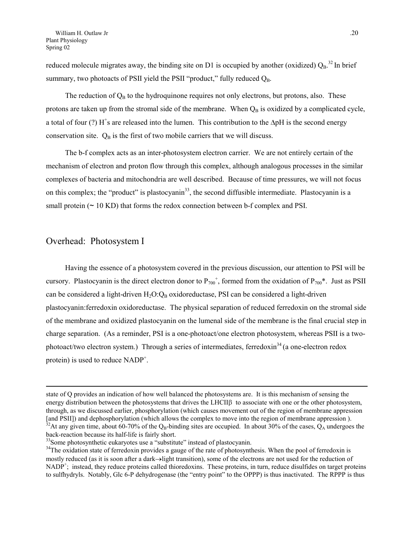<span id="page-19-2"></span>reduced molecule migrates away, the binding site on D1 is occupied by another (oxidized)  $Q_B$ .<sup>32</sup> In brief summary, two photoacts of PSII yield the PSII "product," fully reduced  $Q_B$ .

The reduction of  $Q_B$  to the hydroquinone requires not only electrons, but protons, also. These protons are taken up from the stromal side of the membrane. When  $Q_B$  is oxidized by a complicated cycle, a total of four (?)  $H^*$ s are released into the lumen. This contribution to the  $\Delta pH$  is the second energy conservation site.  $Q_B$  is the first of two mobile carriers that we will discuss.

The b-f complex acts as an inter-photosystem electron carrier. We are not entirely certain of the mechanism of electron and proton flow through this complex, although analogous processes in the similar complexes of bacteria and mitochondria are well described. Because of time pressures, we will not focus on this complex; the "product" is plastocyanin<sup>33</sup>, the second diffusible intermediate. Plastocyanin is a small protein  $(~ 10 \text{ KD})$  that forms the redox connection between b-f complex and PSI.

#### Overhead: Photosystem I

 $\overline{a}$ 

Having the essence of a photosystem covered in the previous discussion, our attention to PSI will be cursory. Plastocyanin is the direct electron donor to  $P_{700}^+$ , formed from the oxidation of  $P_{700}^*$ . Just as PSII can be considered a light-driven  $H_2O:Q_B$  oxidoreductase, PSI can be considered a light-driven plastocyanin:ferredoxin oxidoreductase. The physical separation of reduced ferredoxin on the stromal side of the membrane and oxidized plastocyanin on the lumenal side of the membrane is the final crucial step in charge separation. (As a reminder, PSI is a one-photoact/one electron photosystem, whereas PSII is a twophotoact/two electron system.) Through a series of intermediates, ferredoxin<sup>34</sup> (a one-electron redox protein) is used to reduce NADP<sup>+</sup>.

state of Q provides an indication of how well balanced the photosystems are. It is this mechanism of sensing the energy distribution between the photosystems that drives the LHCII $\beta$  to associate with one or the other photosystem, through, as we discussed earlier, phosphorylation (which causes movement out of the region of membrane appression [and PSII]) and dephosphorylation (which allows the complex to move into the region of membrane appression ).  $32$ At any given time, about 60-70% of the Q<sub>B</sub>-binding sites are occupied. In about 30% of the cases, Q<sub>A</sub> undergoes the back-reaction because its half-life is fairly short.

<span id="page-19-1"></span><span id="page-19-0"></span><sup>&</sup>lt;sup>33</sup>Some photosynthetic eukaryotes use a "substitute" instead of plastocyanin.

<sup>&</sup>lt;sup>34</sup>The oxidation state of ferredoxin provides a gauge of the rate of photosynthesis. When the pool of ferredoxin is mostly reduced (as it is soon after a dark-light transition), some of the electrons are not used for the reduction of NADP<sup>+</sup>; instead, they reduce proteins called thioredoxins. These proteins, in turn, reduce disulfides on target proteins to sulfhydryls. Notably, Glc 6-P dehydrogenase (the "entry point" to the OPPP) is thus inactivated. The RPPP is thus